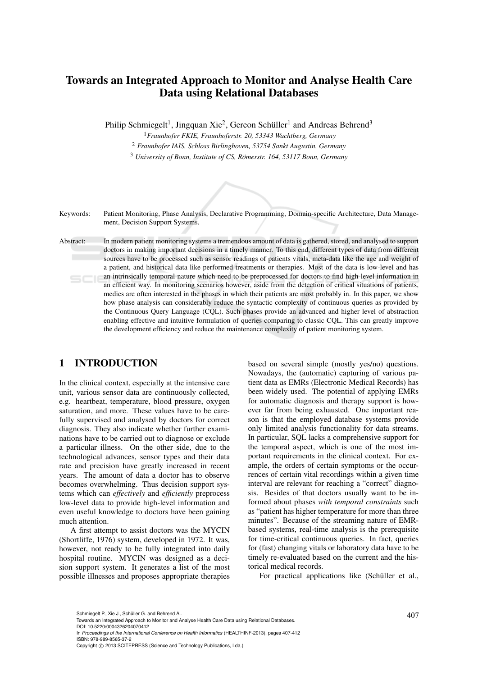# Towards an Integrated Approach to Monitor and Analyse Health Care Data using Relational Databases

Philip Schmiegelt<sup>1</sup>, Jingquan Xie<sup>2</sup>, Gereon Schüller<sup>1</sup> and Andreas Behrend<sup>3</sup>

<sup>1</sup>*Fraunhofer FKIE, Fraunhoferstr. 20, 53343 Wachtberg, Germany*

<sup>2</sup> *Fraunhofer IAIS, Schloss Birlinghoven, 53754 Sankt Augustin, Germany*

<sup>3</sup> *University of Bonn, Institute of CS, Römerstr. 164, 53117 Bonn, Germany* 



Keywords: Patient Monitoring, Phase Analysis, Declarative Programming, Domain-specific Architecture, Data Management, Decision Support Systems.

Abstract: In modern patient monitoring systems a tremendous amount of data is gathered, stored, and analysed to support doctors in making important decisions in a timely manner. To this end, different types of data from different sources have to be processed such as sensor readings of patients vitals, meta-data like the age and weight of a patient, and historical data like performed treatments or therapies. Most of the data is low-level and has an intrinsically temporal nature which need to be preprocessed for doctors to find high-level information in  $5C$ an efficient way. In monitoring scenarios however, aside from the detection of critical situations of patients, medics are often interested in the phases in which their patients are most probably in. In this paper, we show how phase analysis can considerably reduce the syntactic complexity of continuous queries as provided by the Continuous Query Language (CQL). Such phases provide an advanced and higher level of abstraction enabling effective and intuitive formulation of queries comparing to classic CQL. This can greatly improve the development efficiency and reduce the maintenance complexity of patient monitoring system.

### 1 INTRODUCTION

In the clinical context, especially at the intensive care unit, various sensor data are continuously collected, e.g. heartbeat, temperature, blood pressure, oxygen saturation, and more. These values have to be carefully supervised and analysed by doctors for correct diagnosis. They also indicate whether further examinations have to be carried out to diagnose or exclude a particular illness. On the other side, due to the technological advances, sensor types and their data rate and precision have greatly increased in recent years. The amount of data a doctor has to observe becomes overwhelming. Thus decision support systems which can *effectively* and *efficiently* preprocess low-level data to provide high-level information and even useful knowledge to doctors have been gaining much attention.

A first attempt to assist doctors was the MYCIN (Shortliffe, 1976) system, developed in 1972. It was, however, not ready to be fully integrated into daily hospital routine. MYCIN was designed as a decision support system. It generates a list of the most possible illnesses and proposes appropriate therapies based on several simple (mostly yes/no) questions. Nowadays, the (automatic) capturing of various patient data as EMRs (Electronic Medical Records) has been widely used. The potential of applying EMRs for automatic diagnosis and therapy support is however far from being exhausted. One important reason is that the employed database systems provide only limited analysis functionality for data streams. In particular, SQL lacks a comprehensive support for the temporal aspect, which is one of the most important requirements in the clinical context. For example, the orders of certain symptoms or the occurrences of certain vital recordings within a given time interval are relevant for reaching a "correct" diagnosis. Besides of that doctors usually want to be informed about phases *with temporal constraints* such as "patient has higher temperature for more than three minutes". Because of the streaming nature of EMRbased systems, real-time analysis is the prerequisite for time-critical continuous queries. In fact, queries for (fast) changing vitals or laboratory data have to be timely re-evaluated based on the current and the historical medical records.

For practical applications like (Schüller et al.,

In *Proceedings of the International Conference on Health Informatics* (HEALTHINF-2013), pages 407-412 ISBN: 978-989-8565-37-2

Copyright © 2013 SCITEPRESS (Science and Technology Publications, Lda.)

Schmiegelt P., Xie J., Schüller G. and Behrend A..<br>Towards an Integrated Approach to Monitor and Analyse Health Care Data using Relational Databases. DOI: 10.5220/0004326204070412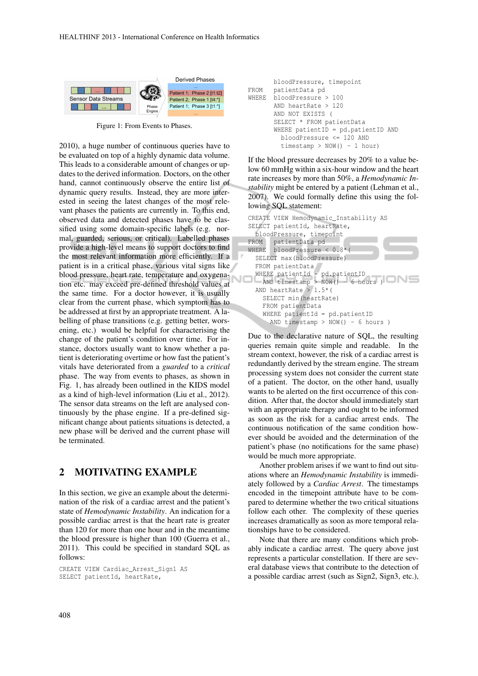

Figure 1: From Events to Phases.

2010), a huge number of continuous queries have to be evaluated on top of a highly dynamic data volume. This leads to a considerable amount of changes or updates to the derived information. Doctors, on the other hand, cannot continuously observe the entire list of dynamic query results. Instead, they are more interested in seeing the latest changes of the most relevant phases the patients are currently in. To this end, observed data and detected phases have to be classified using some domain-specific labels (e.g. normal, guarded, serious, or critical). Labelled phases provide a high-level means to support doctors to find the most relevant information more efficiently. If a patient is in a critical phase, various vital signs like blood pressure, heart rate, temperature and oxygenation etc. may exceed pre-defined threshold values at the same time. For a doctor however, it is usually clear from the current phase, which symptom has to be addressed at first by an appropriate treatment. A labelling of phase transitions (e.g. getting better, worsening, etc.) would be helpful for characterising the change of the patient's condition over time. For instance, doctors usually want to know whether a patient is deteriorating overtime or how fast the patient's vitals have deteriorated from a *guarded* to a *critical* phase. The way from events to phases, as shown in Fig. 1, has already been outlined in the KIDS model as a kind of high-level information (Liu et al., 2012). The sensor data streams on the left are analysed continuously by the phase engine. If a pre-defined significant change about patients situations is detected, a new phase will be derived and the current phase will be terminated.

### 2 MOTIVATING EXAMPLE

In this section, we give an example about the determination of the risk of a cardiac arrest and the patient's state of *Hemodynamic Instability*. An indication for a possible cardiac arrest is that the heart rate is greater than 120 for more than one hour and in the meantime the blood pressure is higher than 100 (Guerra et al., 2011). This could be specified in standard SQL as follows:

CREATE VIEW Cardiac\_Arrest\_Sign1 AS SELECT patientId, heartRate,

```
bloodPressure, timepoint
FROM patientData pd
WHERE bloodPressure > 100
      AND heartRate > 120
      AND NOT EXISTS (
       SELECT * FROM patientData
       WHERE patientID = pd.patientID AND
         bloodPressure <= 120 AND
         timestamp > NOW() - 1 hour)
```
If the blood pressure decreases by 20% to a value below 60 mmHg within a six-hour window and the heart rate increases by more than 50%, a *Hemodynamic Instability* might be entered by a patient (Lehman et al., 2007). We could formally define this using the following SQL statement:

|                                    | CREATE VIEW Hemodynamic_Instability AS |  |  |  |  |  |
|------------------------------------|----------------------------------------|--|--|--|--|--|
|                                    | SELECT patientId, heartRate,           |  |  |  |  |  |
|                                    | bloodPressure, timepoint               |  |  |  |  |  |
|                                    | FROM patientData pd                    |  |  |  |  |  |
|                                    | WHERE bloodPressure < $0.8*($          |  |  |  |  |  |
|                                    | SELECT max (bloodPressure)             |  |  |  |  |  |
|                                    | FROM patientData                       |  |  |  |  |  |
| WHERE patientId = $pd.patientID$   |                                        |  |  |  |  |  |
|                                    | AND timestamp > $NOW() - 6 hours)$     |  |  |  |  |  |
|                                    | AND heartRate > $1.5*$ (               |  |  |  |  |  |
| SELECT min(heartRate)              |                                        |  |  |  |  |  |
| FROM patientData                   |                                        |  |  |  |  |  |
|                                    | WHERE patientId = $pd.patientID$       |  |  |  |  |  |
| AND timestamp > $NOW() - 6 hours)$ |                                        |  |  |  |  |  |
|                                    |                                        |  |  |  |  |  |

Due to the declarative nature of SQL, the resulting queries remain quite simple and readable. In the stream context, however, the risk of a cardiac arrest is redundantly derived by the stream engine. The stream processing system does not consider the current state of a patient. The doctor, on the other hand, usually wants to be alerted on the first occurrence of this condition. After that, the doctor should immediately start with an appropriate therapy and ought to be informed as soon as the risk for a cardiac arrest ends. The continuous notification of the same condition however should be avoided and the determination of the patient's phase (no notifications for the same phase) would be much more appropriate.

Another problem arises if we want to find out situations where an *Hemodynamic Instability* is immediately followed by a *Cardiac Arrest*. The timestamps encoded in the timepoint attribute have to be compared to determine whether the two critical situations follow each other. The complexity of these queries increases dramatically as soon as more temporal relationships have to be considered.

Note that there are many conditions which probably indicate a cardiac arrest. The query above just represents a particular constellation. If there are several database views that contribute to the detection of a possible cardiac arrest (such as Sign2, Sign3, etc.),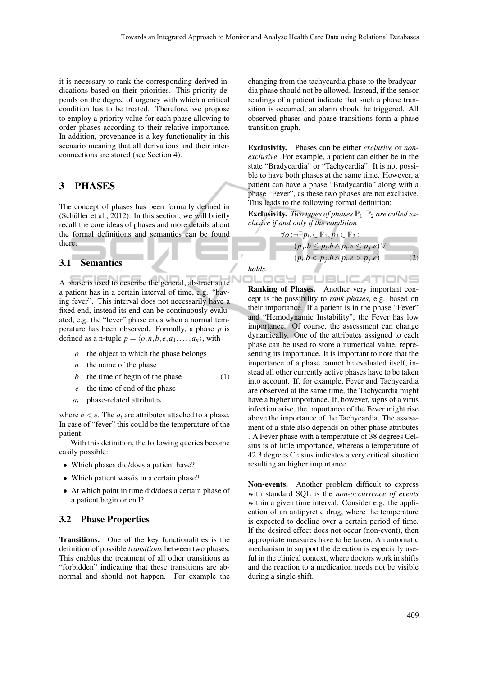it is necessary to rank the corresponding derived indications based on their priorities. This priority depends on the degree of urgency with which a critical condition has to be treated. Therefore, we propose to employ a priority value for each phase allowing to order phases according to their relative importance. In addition, provenance is a key functionality in this scenario meaning that all derivations and their interconnections are stored (see Section 4).

### 3 PHASES

The concept of phases has been formally defined in (Schüller et al.,  $2012$ ). In this section, we will briefly recall the core ideas of phases and more details about the formal definitions and semantics can be found there.

#### 3.1 Semantics

A phase is used to describe the general, abstract state a patient has in a certain interval of time, e.g. "having fever". This interval does not necessarily have a fixed end, instead its end can be continuously evaluated, e.g. the "fever" phase ends when a normal temperature has been observed. Formally, a phase *p* is defined as a n-tuple  $p = \langle o, n, b, e, a_1, \ldots, a_n \rangle$ , with

- *o* the object to which the phase belongs
- *n* the name of the phase
- *b* the time of begin of the phase (1)
- *e* the time of end of the phase
- *a<sup>i</sup>* phase-related attributes.

where  $b < e$ . The  $a_i$  are attributes attached to a phase. In case of "fever" this could be the temperature of the patient.

With this definition, the following queries become easily possible:

- Which phases did/does a patient have?
- Which patient was/is in a certain phase?
- At which point in time did/does a certain phase of a patient begin or end?

#### 3.2 Phase Properties

Transitions. One of the key functionalities is the definition of possible *transitions* between two phases. This enables the treatment of all other transitions as "forbidden" indicating that these transitions are abnormal and should not happen. For example the changing from the tachycardia phase to the bradycardia phase should not be allowed. Instead, if the sensor readings of a patient indicate that such a phase transition is occurred, an alarm should be triggered. All observed phases and phase transitions form a phase transition graph.

Exclusivity. Phases can be either *exclusive* or *nonexclusive*. For example, a patient can either be in the state "Bradycardia" or "Tachycardia". It is not possible to have both phases at the same time. However, a patient can have a phase "Bradycardia" along with a phase "Fever", as these two phases are not exclusive. This leads to the following formal definition:

**Exclusivity.** *Two types of phases*  $\mathbb{P}_1$ ,  $\mathbb{P}_2$  *are called exclusive if and only if the condition*

 $\Box$ 

$$
\forall o: \neg \exists p_i, \in \mathbb{P}_1, p_j \in \mathbb{P}_2 : (p_j.b \le p_i.b \land p_i.e \le p_j.e) \lor (p_i.b < p_j.b \land p_i.e > p_j.e)
$$
 (2)

*holds.*

J

.ogy JBLIC ATIONS Ranking of Phases. Another very important concept is the possibility to *rank phases*, e.g. based on their importance. If a patient is in the phase "Fever" and "Hemodynamic Instability", the Fever has low importance. Of course, the assessment can change dynamically. One of the attributes assigned to each phase can be used to store a numerical value, representing its importance. It is important to note that the importance of a phase cannot be evaluated itself, instead all other currently active phases have to be taken into account. If, for example, Fever and Tachycardia are observed at the same time, the Tachycardia might have a higher importance. If, however, signs of a virus infection arise, the importance of the Fever might rise above the importance of the Tachycardia. The assessment of a state also depends on other phase attributes . A Fever phase with a temperature of 38 degrees Celsius is of little importance, whereas a temperature of 42.3 degrees Celsius indicates a very critical situation resulting an higher importance.

Non-events. Another problem difficult to express with standard SQL is the *non-occurrence of events* within a given time interval. Consider e.g. the application of an antipyretic drug, where the temperature is expected to decline over a certain period of time. If the desired effect does not occur (non-event), then appropriate measures have to be taken. An automatic mechanism to support the detection is especially useful in the clinical context, where doctors work in shifts and the reaction to a medication needs not be visible during a single shift.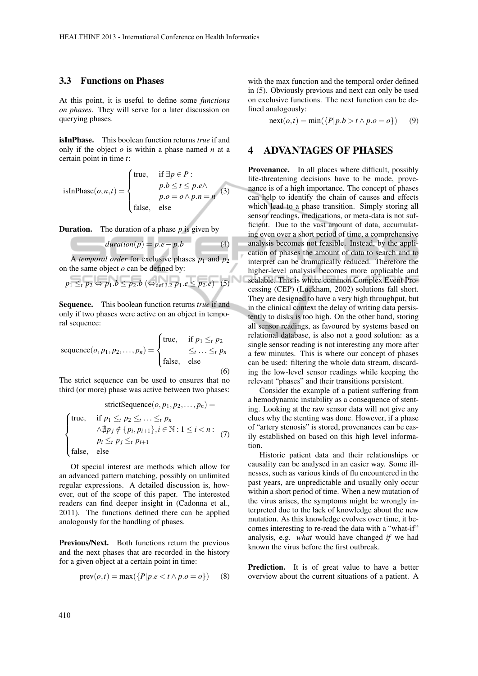#### 3.3 Functions on Phases

At this point, it is useful to define some *functions on phases*. They will serve for a later discussion on querying phases.

isInPhase. This boolean function returns *true* if and only if the object *o* is within a phase named *n* at a certain point in time *t*:

isInPhase(*o*,*n*,*t*) =   
\n
$$
\begin{cases}\n\text{true}, & \text{if } \exists p \in P : \\
p.b \le t \le p.e \land \\
p.o = o \land p.n = n\n\end{cases}
$$
\n(3)  
\nfalse, else

**Duration.** The duration of a phase  $p$  is given by

$$
duration(p) = p.e - p.b \tag{4}
$$

A *temporal order* for exclusive phases  $p_1$  and  $p_2$ on the same object *o* can be defined by:

$$
p_1 \leq t p_2 \Leftrightarrow p_1.b \leq p_2.b \ (\Leftrightarrow_{\text{def }3.2} p_1.e \leq p_2.e) \tag{5}
$$

Sequence. This boolean function returns *true* if and only if two phases were active on an object in temporal sequence:

sequence
$$
(o, p_1, p_2, ..., p_n)
$$
 = 
$$
\begin{cases} \text{true}, & \text{if } p_1 \leq_t p_2 \\ \text{false}, & \text{else} \end{cases}
$$

The strict sequence can be used to ensures that no third (or more) phase was active between two phases:

$$
\text{strictSequence}(o, p_1, p_2, \dots, p_n) =
$$
\n
$$
\begin{cases}\n\text{true}, & \text{if } p_1 \leq t \ p_2 \leq t \dots \leq t \ p_n \\
\quad \wedge \nexists p_j \notin \{p_i, p_{i+1}\}, i \in \mathbb{N} : 1 \leq i < n: \\
p_i \leq t \ p_j \leq t \ p_{i+1}\n\end{cases} \tag{7}
$$
\n
$$
\text{false}, \text{else}
$$

Of special interest are methods which allow for an advanced pattern matching, possibly on unlimited regular expressions. A detailed discussion is, however, out of the scope of this paper. The interested readers can find deeper insight in (Cadonna et al., 2011). The functions defined there can be applied analogously for the handling of phases.

Previous/Next. Both functions return the previous and the next phases that are recorded in the history for a given object at a certain point in time:

$$
prev(o,t) = max({P|p.e < t \land p.o = o})
$$
 (8)

with the max function and the temporal order defined in (5). Obviously previous and next can only be used on exclusive functions. The next function can be defined analogously:

 $\text{next}(o, t) = \min(\{P|p.b > t \land p.o = o\})$  (9)

### 4 ADVANTAGES OF PHASES

Provenance. In all places where difficult, possibly life-threatening decisions have to be made, provenance is of a high importance. The concept of phases can help to identify the chain of causes and effects which lead to a phase transition. Simply storing all sensor readings, medications, or meta-data is not sufficient. Due to the vast amount of data, accumulating even over a short period of time, a comprehensive analysis becomes not feasible. Instead, by the application of phases the amount of data to search and to interpret can be dramatically reduced. Therefore the higher-level analysis becomes more applicable and scalable. This is where common Complex Event Processing (CEP) (Luckham, 2002) solutions fall short. They are designed to have a very high throughput, but in the clinical context the delay of writing data persistently to disks is too high. On the other hand, storing all sensor readings, as favoured by systems based on relational database, is also not a good solution: as a single sensor reading is not interesting any more after a few minutes. This is where our concept of phases can be used: filtering the whole data stream, discarding the low-level sensor readings while keeping the relevant "phases" and their transitions persistent.

Consider the example of a patient suffering from a hemodynamic instability as a consequence of stenting. Looking at the raw sensor data will not give any clues why the stenting was done. However, if a phase of "artery stenosis" is stored, provenances can be easily established on based on this high level information.

Historic patient data and their relationships or causality can be analysed in an easier way. Some illnesses, such as various kinds of flu encountered in the past years, are unpredictable and usually only occur within a short period of time. When a new mutation of the virus arises, the symptoms might be wrongly interpreted due to the lack of knowledge about the new mutation. As this knowledge evolves over time, it becomes interesting to re-read the data with a "what-if" analysis, e.g. *what* would have changed *if* we had known the virus before the first outbreak.

Prediction. It is of great value to have a better overview about the current situations of a patient. A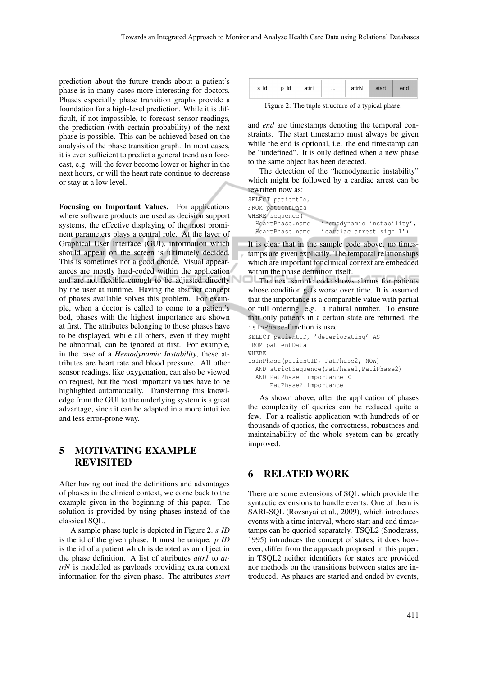prediction about the future trends about a patient's phase is in many cases more interesting for doctors. Phases especially phase transition graphs provide a foundation for a high-level prediction. While it is difficult, if not impossible, to forecast sensor readings, the prediction (with certain probability) of the next phase is possible. This can be achieved based on the analysis of the phase transition graph. In most cases, it is even sufficient to predict a general trend as a forecast, e.g. will the fever become lower or higher in the next hours, or will the heart rate continue to decrease or stay at a low level.

Focusing on Important Values. For applications where software products are used as decision support systems, the effective displaying of the most prominent parameters plays a central role. At the layer of Graphical User Interface (GUI), information which should appear on the screen is ultimately decided. This is sometimes not a good choice. Visual appearances are mostly hard-coded within the application and are not flexible enough to be adjusted directly by the user at runtime. Having the abstract concept of phases available solves this problem. For example, when a doctor is called to come to a patient's bed, phases with the highest importance are shown at first. The attributes belonging to those phases have to be displayed, while all others, even if they might be abnormal, can be ignored at first. For example, in the case of a *Hemodynamic Instability*, these attributes are heart rate and blood pressure. All other sensor readings, like oxygenation, can also be viewed on request, but the most important values have to be highlighted automatically. Transferring this knowledge from the GUI to the underlying system is a great advantage, since it can be adapted in a more intuitive and less error-prone way.

### 5 MOTIVATING EXAMPLE **REVISITED**

After having outlined the definitions and advantages of phases in the clinical context, we come back to the example given in the beginning of this paper. The solution is provided by using phases instead of the classical SQL.

A sample phase tuple is depicted in Figure 2. *s ID* is the id of the given phase. It must be unique. *p ID* is the id of a patient which is denoted as an object in the phase definition. A list of attributes *attr1* to *attrN* is modelled as payloads providing extra context information for the given phase. The attributes *start*

| id<br>$S_{\perp}$ | id | attr1 |  | attrN | start | end |  |  |
|-------------------|----|-------|--|-------|-------|-----|--|--|
|                   |    |       |  |       |       |     |  |  |

Figure 2: The tuple structure of a typical phase.

and *end* are timestamps denoting the temporal constraints. The start timestamp must always be given while the end is optional, i.e. the end timestamp can be "undefined". It is only defined when a new phase to the same object has been detected.

The detection of the "hemodynamic instability" which might be followed by a cardiac arrest can be rewritten now as:

```
SELECT patientId,
FROM patientData
WHERE sequence(
  HeartPhase.name = 'hemodynamic instability',
  HeartPhase.name = 'cardiac arrest sign 1')
```
It is clear that in the sample code above, no timestamps are given explicitly. The temporal relationships which are important for clinical context are embedded within the phase definition itself.

The next sample code shows alarms for patients whose condition gets worse over time. It is assumed that the importance is a comparable value with partial or full ordering, e.g. a natural number. To ensure that only patients in a certain state are returned, the isInPhase-function is used.

```
SELECT patientID, 'deteriorating' AS
FROM patientData
WHERE
isInPhase(patientID, PatPhase2, NOW)
  AND strictSequence(PatPhase1,PatiPhase2)
  AND PatPhase1.importance <
      PatPhase2.importance
```
As shown above, after the application of phases the complexity of queries can be reduced quite a few. For a realistic application with hundreds of or thousands of queries, the correctness, robustness and maintainability of the whole system can be greatly improved.

### 6 RELATED WORK

There are some extensions of SQL which provide the syntactic extensions to handle events. One of them is SARI-SQL (Rozsnyai et al., 2009), which introduces events with a time interval, where start and end timestamps can be queried separately. TSQL2 (Snodgrass, 1995) introduces the concept of states, it does however, differ from the approach proposed in this paper: in TSQL2 neither identifiers for states are provided nor methods on the transitions between states are introduced. As phases are started and ended by events,